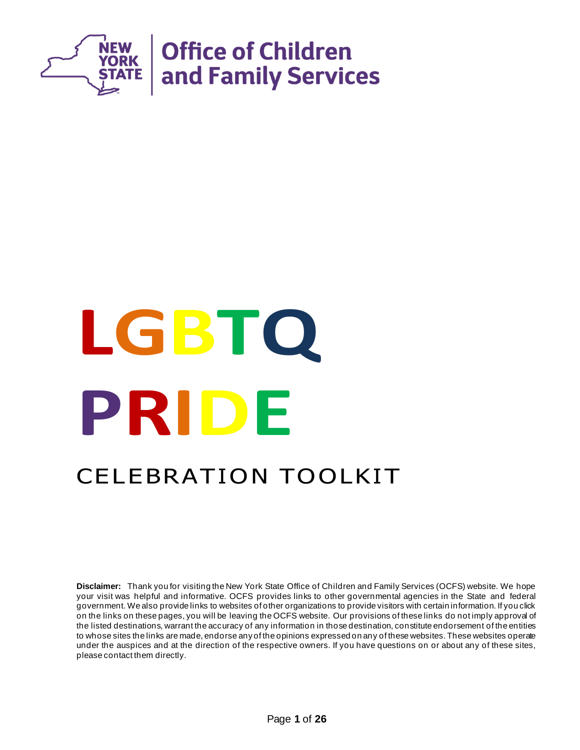

# **LGBTQ PRIDE** CELEBRATION TOOLKIT

**Disclaimer:** Thank you for visiting the New York State Office of Children and Family Services (OCFS) website. We hope your visit was helpful and informative. OCFS provides links to other governmental agencies in the State and federal government. We also provide links to websites of other organizations to provide visitors with certain information. If you click on the links on these pages, you will be leaving the OCFS website. Our provisions of these links do not imply approval of the listed destinations, warrant the accuracy of any information in those destination, constitute endorsement of the entities to whose sites the links are made, endorse any of the opinions expressed on any of these websites. These websites operate under the auspices and at the direction of the respective owners. If you have questions on or about any of these sites, please contact them directly.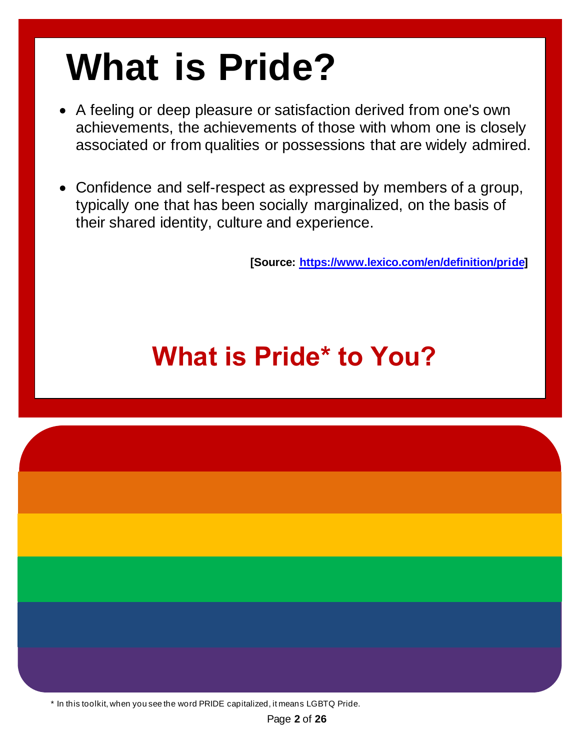### **What is Pride?**

- A feeling or deep pleasure or satisfaction derived from one's own achievements, the achievements of those with whom one is closely associated or from qualities or possessions that are widely admired.
- Confidence and self-respect as expressed by members of a group, typically one that has been socially marginalized, on the basis of their shared identity, culture and experience.

**[Source[: https://www.lexico.com/en/definition/pride\]](https://www.lexico.com/en/definition/pride)**

### **What is Pride\* to You?**

\* In this toolkit, when you see the word PRIDE capitalized, it means LGBTQ Pride.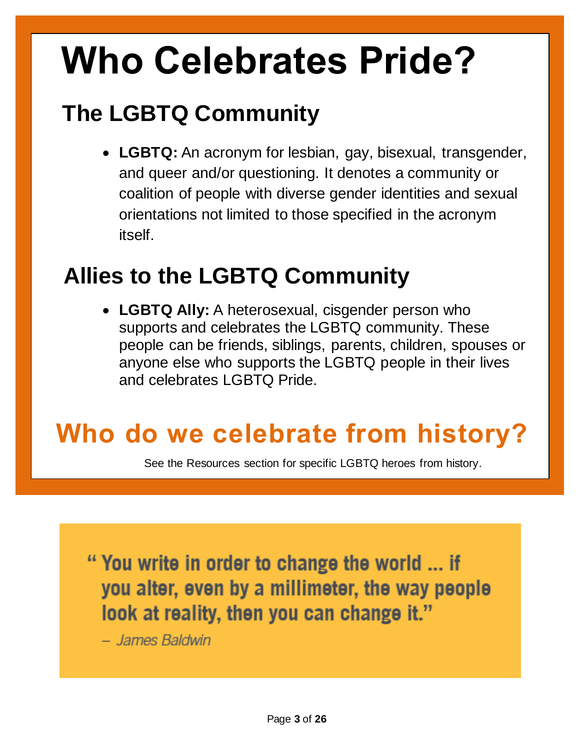### **Who Celebrates Pride?**

### **The LGBTQ Community**

• **LGBTQ:** An acronym for lesbian, gay, bisexual, transgender, and queer and/or questioning. It denotes a community or coalition of people with diverse gender identities and sexual orientations not limited to those specified in the acronym itself.

#### **Allies to the LGBTQ Community**

• **LGBTQ Ally:** A heterosexual, cisgender person who supports and celebrates the LGBTQ community. These people can be friends, siblings, parents, children, spouses or anyone else who supports the LGBTQ people in their lives and celebrates LGBTQ Pride.

### **Who do we celebrate from history?**

See the Resources section for specific LGBTQ heroes from history.

"You write in order to change the world ... if you alter, even by a millimeter, the way people look at reality, then you can change it."

- James Baldwin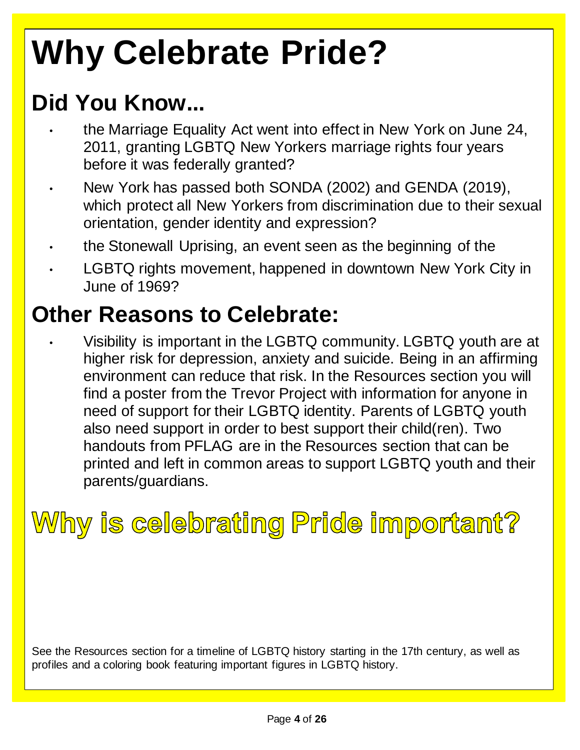### **Why Celebrate Pride?**

### **Did You Know...**

- the Marriage Equality Act went into effect in New York on June 24, 2011, granting LGBTQ New Yorkers marriage rights four years before it was federally granted?
- New York has passed both SONDA (2002) and GENDA (2019), which protect all New Yorkers from discrimination due to their sexual orientation, gender identity and expression?
- the Stonewall Uprising, an event seen as the beginning of the
- LGBTQ rights movement, happened in downtown New York City in June of 1969?

#### **Other Reasons to Celebrate:**

• Visibility is important in the LGBTQ community. LGBTQ youth are at higher risk for depression, anxiety and suicide. Being in an affirming environment can reduce that risk. In the Resources section you will find a poster from the Trevor Project with information for anyone in need of support for their LGBTQ identity. Parents of LGBTQ youth also need support in order to best support their child(ren). Two handouts from PFLAG are in the Resources section that can be printed and left in common areas to support LGBTQ youth and their parents/guardians.

### Why is celebrating Pride important?

See the Resources section for a timeline of LGBTQ history starting in the 17th century, as well as profiles and a coloring book featuring important figures in LGBTQ history.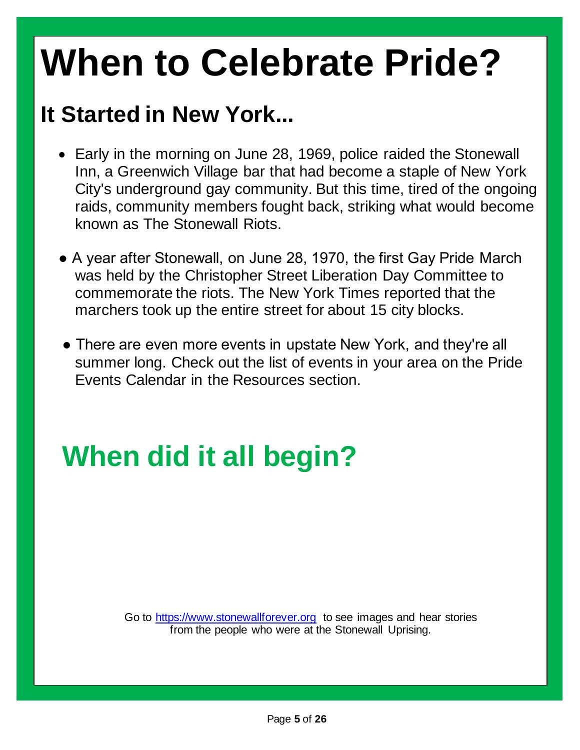### **When to Celebrate Pride?**

#### **It Started in New York...**

- Early in the morning on June 28, 1969, police raided the Stonewall Inn, a Greenwich Village bar that had become a staple of New York City's underground gay community. But this time, tired of the ongoing raids, community members fought back, striking what would become known as The Stonewall Riots.
- A year after Stonewall, on June 28, 1970, the first Gay Pride March was held by the Christopher Street Liberation Day Committee to commemorate the riots. The New York Times reported that the marchers took up the entire street for about 15 city blocks.
- There are even more events in upstate New York, and they're all summer long. Check out the list of events in your area on the Pride Events Calendar in the Resources section.

### **When did it all begin?**

Go to [https://www.stonewallforever.org](https://www.stonewallforever.org/) to see images and hear stories from the people who were at the Stonewall Uprising.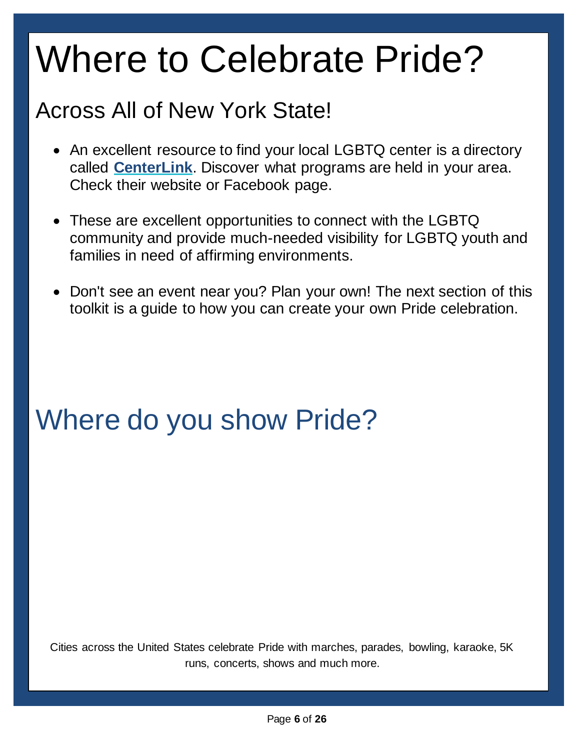### Where to Celebrate Pride?

#### Across All of New York State!

- An excellent resource to find your local LGBTQ center is a directory called **[CenterLink](https://www.lgbtcenters.org/LGBTCenters)**. Discover what programs are held in your area. Check their website or Facebook page.
- These are excellent opportunities to connect with the LGBTQ community and provide much-needed visibility for LGBTQ youth and families in need of affirming environments.
- Don't see an event near you? Plan your own! The next section of this toolkit is a guide to how you can create your own Pride celebration.

### Where do you show Pride?

Cities across the United States celebrate Pride with marches, parades, bowling, karaoke, 5K runs, concerts, shows and much more.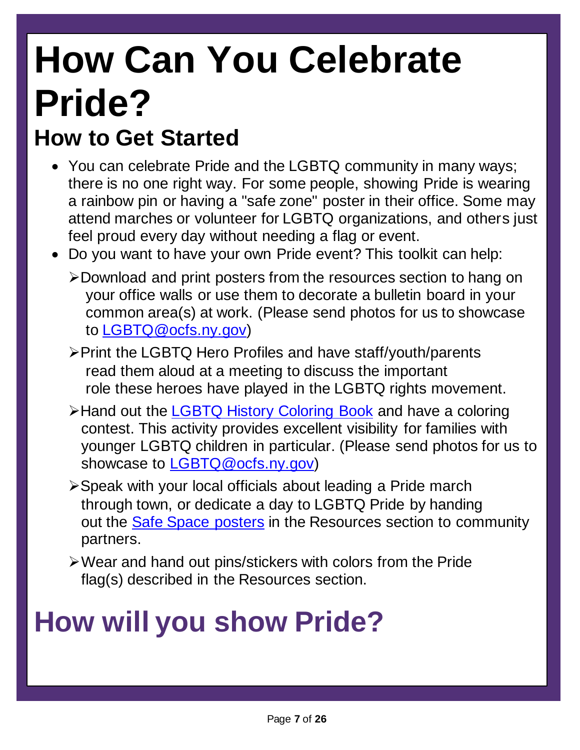## **How Can You Celebrate Pride?**

#### **How to Get Started**

- You can celebrate Pride and the LGBTQ community in many ways; there is no one right way. For some people, showing Pride is wearing a rainbow pin or having a "safe zone" poster in their office. Some may attend marches or volunteer for LGBTQ organizations, and others just feel proud every day without needing a flag or event.
- Do you want to have your own Pride event? This toolkit can help:
	- ➢Download and print posters from the resources section to hang on your office walls or use them to decorate a bulletin board in your common area(s) at work. (Please send photos for us to showcase to [LGBTQ@ocfs.ny.gov\)](file:///C:/Users/ax9740/Desktop/LGBTQ@ocfs.ny.gov)
	- ➢Print the LGBTQ Hero Profiles and have staff/youth/parents read them aloud at a meeting to discuss the important role these heroes have played in the LGBTQ rights movement.
	- ➢Hand out the [LGBTQ History Coloring Book](http://lc.org/PDFs/Attachments2PRsLAs/2018/103118GLSEN-LGBTQ-History-Coloring-Book.pdf) and have a coloring contest. This activity provides excellent visibility for families with younger LGBTQ children in particular. (Please send photos for us to showcase to [LGBTQ@ocfs.ny.gov\)](file:///C:/Users/ax9740/Desktop/LGBTQ@ocfs.ny.gov)
	- ➢Speak with your local officials about leading a Pride march through town, or dedicate a day to LGBTQ Pride by handing out the [Safe Space posters](https://rlv.zcache.com/safe_space_poster-r4550377223814feba8a54d3271d26167_viil_8byvr_704.jpg) in the Resources section to community partners.
	- ➢Wear and hand out pins/stickers with colors from the Pride flag(s) described in the Resources section.

### **How will you show Pride?**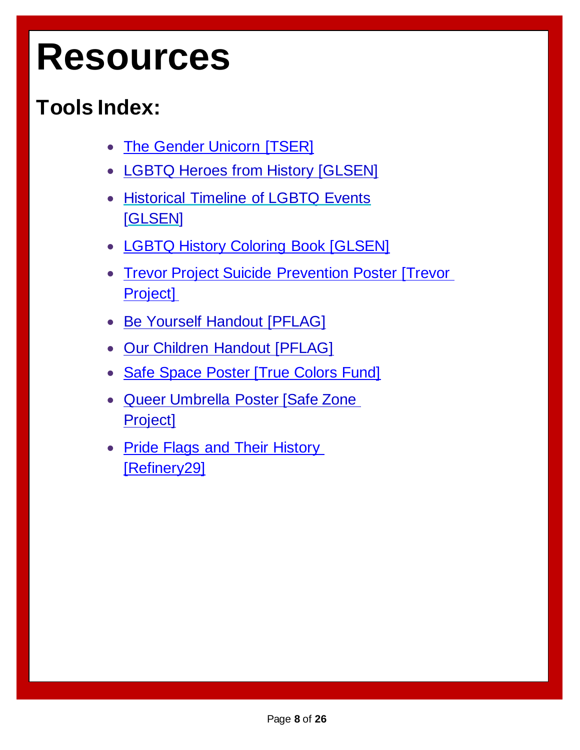### **Resources**

#### **Tools Index:**

- **[The Gender Unicorn \[TSER\]](http://transstudent.org/what-we-do/graphics/gender-unicorn/)**
- [LGBTQ Heroes from History \[GLSEN\]](http://www.glsen.org/)
- [Historical Timeline of LGBTQ Events](https://www.https/www.glsen.org/sites/default/files/LGBTQ-History-Timeline-References.pdf) [\[GLSEN\]](https://www.https/www.glsen.org/sites/default/files/LGBTQ-History-Timeline-References.pdf)
- [LGBTQ History Coloring Book \[GLSEN\]](https://shop.glsen.org/products/lgbtq-history-coloring-book)
- [Trevor Project Suicide Prevention Poster \[Trevor](https://www.thetrevorproject.org/)  [Project\]](https://www.thetrevorproject.org/)
- [Be Yourself Handout \[PFLAG\]](https://pflag.org/resource/be-yourself)
- [Our Children Handout \[PFLAG\]](https://pflag.org/resource/our-children)
- [Safe Space Poster \[True Colors Fund\]](https://rlv.zcache.com/safe_space_poster-r4550377223814feba8a54d3271d26167_viil_8byvr_704.jpg)
- [Queer Umbrella Poster \[Safe Zone](https://mpride.olemiss.edu/wp-content/uploads/sites/122/2018/04/SZP-Queer-Umbrella-Handout.pdf)  [Project\]](https://mpride.olemiss.edu/wp-content/uploads/sites/122/2018/04/SZP-Queer-Umbrella-Handout.pdf)
- Pride Flags and Their History [\[Refinery29\]](https://www.refinery29.com/en-us/lgbt-pride-flags-meaning)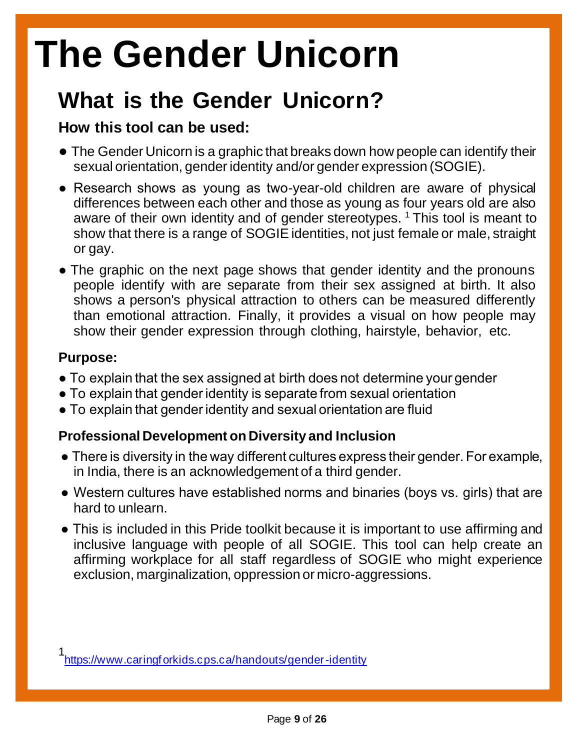### **The Gender Unicorn**

#### **What is the Gender Unicorn?**

#### **How this tool can be used:**

- The Gender Unicorn is a graphic that breaks down how people can identify their sexual orientation, gender identity and/or gender expression (SOGIE).
- Research shows as young as two-year-old children are aware of physical differences between each other and those as young as four years old are also aware of their own identity and of gender stereotypes.  $1$  This tool is meant to show that there is a range of SOGIE identities, not just female or male, straight or gay.
- The graphic on the next page shows that gender identity and the pronouns people identify with are separate from their sex assigned at birth. It also shows a person's physical attraction to others can be measured differently than emotional attraction. Finally, it provides a visual on how people may show their gender expression through clothing, hairstyle, behavior, etc.

#### **Purpose:**

- To explain that the sex assigned at birth does not determine your gender
- To explain that gender identity is separate from sexual orientation
- To explain that gender identity and sexual orientation are fluid

#### **Professional Development on Diversity and Inclusion**

- There is diversity in the way different cultures express their gender. For example, in India, there is an acknowledgement of a third gender.
- Western cultures have established norms and binaries (boys vs. girls) that are hard to unlearn.
- This is included in this Pride toolkit because it is important to use affirming and inclusive language with people of all SOGIE. This tool can help create an affirming workplace for all staff regardless of SOGIE who might experience exclusion, marginalization, oppression or micro-aggressions.

<sup>1</sup> [https://www.caringforkids.cps.ca/handouts/gender-identity](http://www.caringforkids.cps.ca/handouts/gender-identity)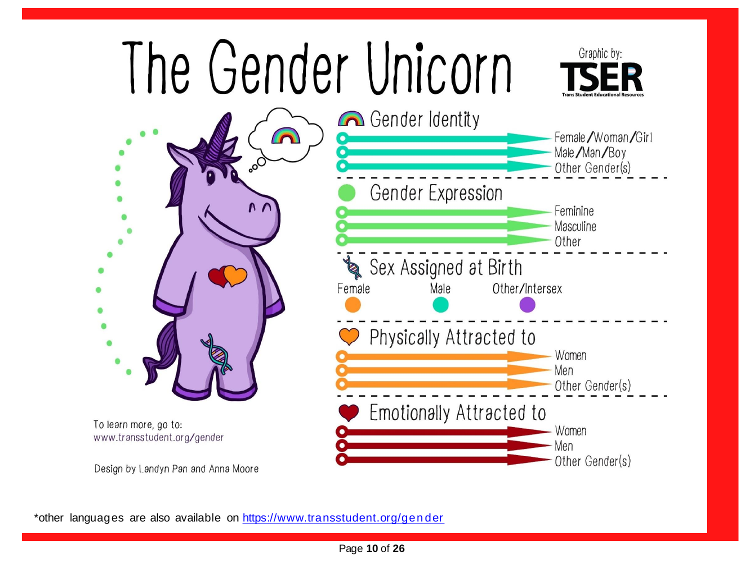

\*other languages are also available on https://www.transstudent.org/gender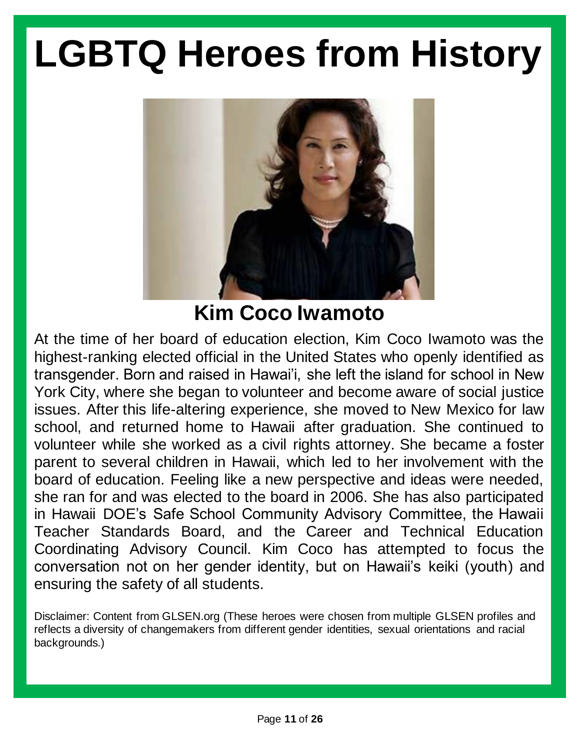

**Kim Coco Iwamoto**

At the time of her board of education election, Kim Coco Iwamoto was the highest-ranking elected official in the United States who openly identified as transgender. Born and raised in Hawai'i, she left the island for school in New York City, where she began to volunteer and become aware of social justice issues. After this life-altering experience, she moved to New Mexico for law school, and returned home to Hawaii after graduation. She continued to volunteer while she worked as a civil rights attorney. She became a foster parent to several children in Hawaii, which led to her involvement with the board of education. Feeling like a new perspective and ideas were needed, she ran for and was elected to the board in 2006. She has also participated in Hawaii DOE's Safe School Community Advisory Committee, the Hawaii Teacher Standards Board, and the Career and Technical Education Coordinating Advisory Council. Kim Coco has attempted to focus the conversation not on her gender identity, but on Hawaii's keiki (youth) and ensuring the safety of all students.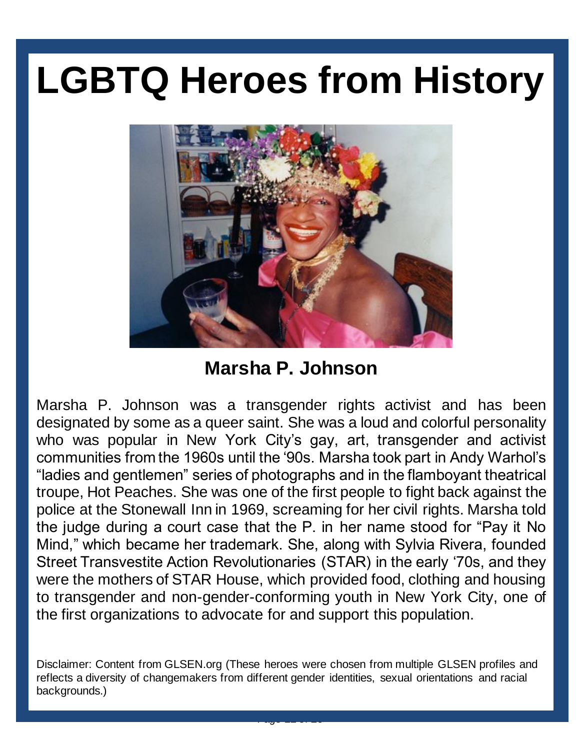

**Marsha P. Johnson**

Marsha P. Johnson was a transgender rights activist and has been designated by some as a queer saint. She was a loud and colorful personality who was popular in New York City's gay, art, transgender and activist communities from the 1960s until the '90s. Marsha took part in Andy Warhol's "ladies and gentlemen" series of photographs and in the flamboyant theatrical troupe, Hot Peaches. She was one of the first people to fight back against the police at the Stonewall Inn in 1969, screaming for her civil rights. Marsha told the judge during a court case that the P. in her name stood for "Pay it No Mind," which became her trademark. She, along with Sylvia Rivera, founded Street Transvestite Action Revolutionaries (STAR) in the early '70s, and they were the mothers of STAR House, which provided food, clothing and housing to transgender and non-gender-conforming youth in New York City, one of the first organizations to advocate for and support this population.

Disclaimer: Content from GLSEN.org (These heroes were chosen from multiple GLSEN profiles and reflects a diversity of changemakers from different gender identities, sexual orientations and racial backgrounds.)

Page **12** of **26**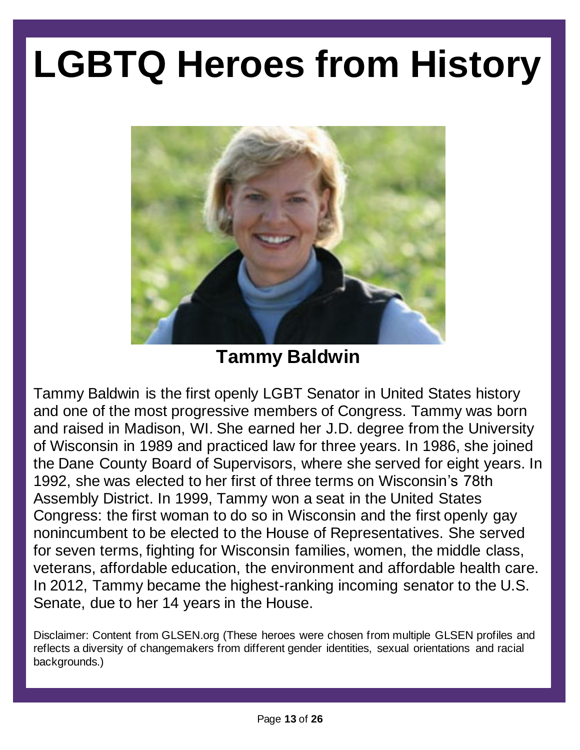

#### **Tammy Baldwin**

Tammy Baldwin is the first openly LGBT Senator in United States history and one of the most progressive members of Congress. Tammy was born and raised in Madison, WI. She earned her J.D. degree from the University of Wisconsin in 1989 and practiced law for three years. In 1986, she joined the Dane County Board of Supervisors, where she served for eight years. In 1992, she was elected to her first of three terms on Wisconsin's 78th Assembly District. In 1999, Tammy won a seat in the United States Congress: the first woman to do so in Wisconsin and the first openly gay nonincumbent to be elected to the House of Representatives. She served for seven terms, fighting for Wisconsin families, women, the middle class, veterans, affordable education, the environment and affordable health care. In 2012, Tammy became the highest-ranking incoming senator to the U.S. Senate, due to her 14 years in the House.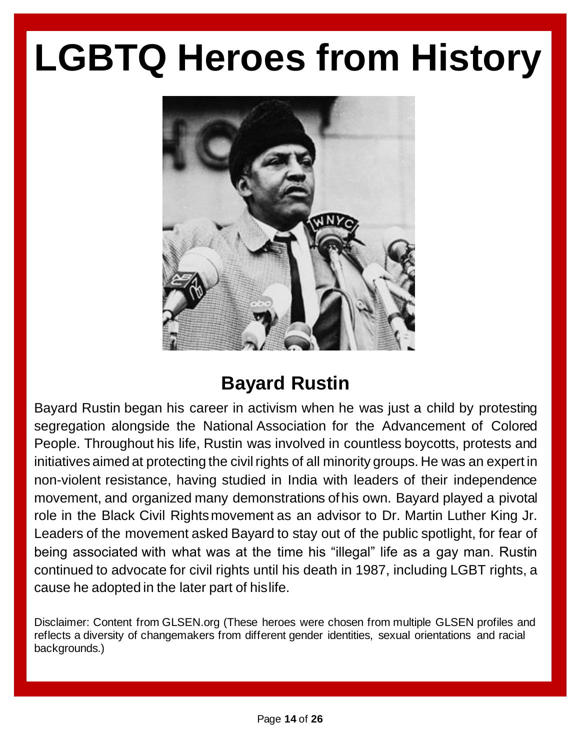

#### **Bayard Rustin**

Bayard Rustin began his career in activism when he was just a child by protesting segregation alongside the National Association for the Advancement of Colored People. Throughout his life, Rustin was involved in countless boycotts, protests and initiatives aimed at protecting the civil rights of all minority groups. He was an expert in non-violent resistance, having studied in India with leaders of their independence movement, and organized many demonstrations ofhis own. Bayard played a pivotal role in the Black Civil Rightsmovement as an advisor to Dr. Martin Luther King Jr. Leaders of the movement asked Bayard to stay out of the public spotlight, for fear of being associated with what was at the time his "illegal" life as a gay man. Rustin continued to advocate for civil rights until his death in 1987, including LGBT rights, a cause he adopted in the later part of hislife.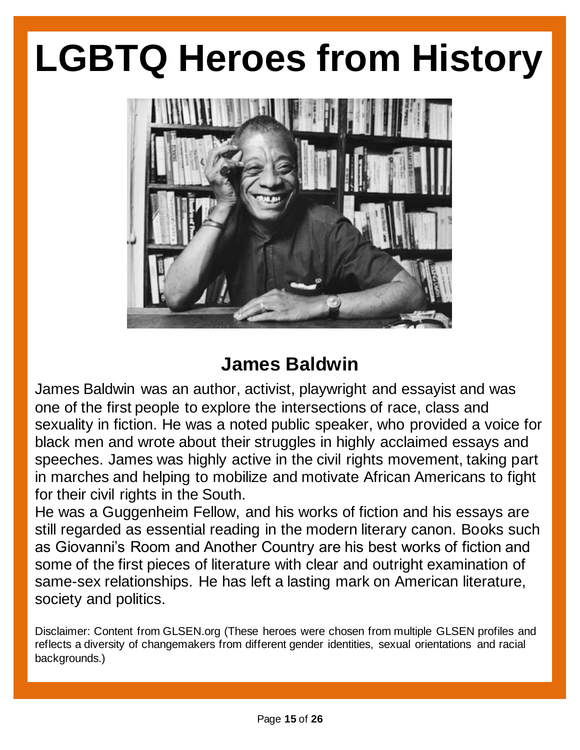

#### **James Baldwin**

James Baldwin was an author, activist, playwright and essayist and was one of the first people to explore the intersections of race, class and sexuality in fiction. He was a noted public speaker, who provided a voice for black men and wrote about their struggles in highly acclaimed essays and speeches. James was highly active in the civil rights movement, taking part in marches and helping to mobilize and motivate African Americans to fight for their civil rights in the South.

He was a Guggenheim Fellow, and his works of fiction and his essays are still regarded as essential reading in the modern literary canon. Books such as Giovanni's Room and Another Country are his best works of fiction and some of the first pieces of literature with clear and outright examination of same-sex relationships. He has left a lasting mark on American literature, society and politics.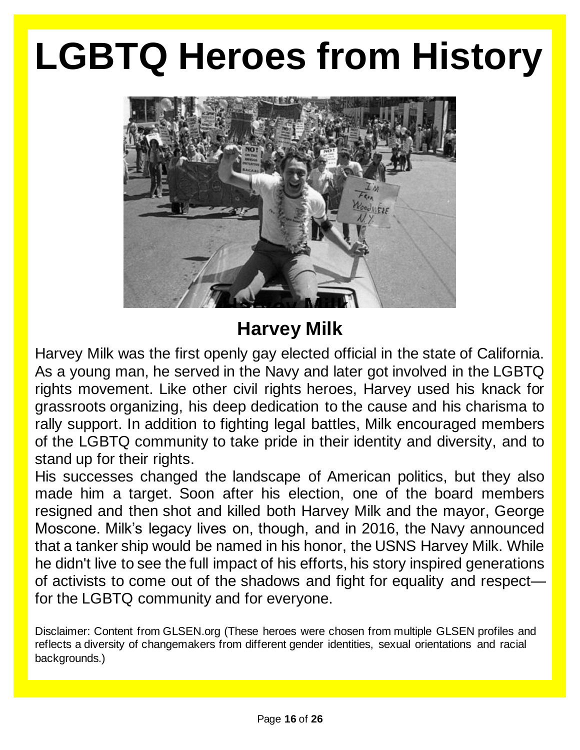

#### civil rights move move to mobilize and mobilize and mobilize and mobilize and mobilize and motivate and motivate and motivate and mobilize and mobilize and mobilize and mobilize and mobilize and motivate and motivate and m

Harvey Milk was the first openly gay elected official in the state of California. As a young man, he served in the Navy and later got involved in the LGBTQ rights movement. Like other civil rights heroes, Harvey used his knack for grassroots organizing, his deep dedication to the cause and his charisma to rally support. In addition to fighting legal battles, Milk encouraged members of the LGBTQ community to take pride in their identity and diversity, and to stand up for their rights.

made him a target. Soon after his election, one of the board members and reflect a diversity of changemakers from different generations, sexual orientations, sexual orientations, a resigned and then shot and killed both Harvey Milk and the mayor, George His successes changed the landscape of American politics, but they also Moscone. Milk's legacy lives on, though, and in 2016, the Navy announced that a tanker ship would be named in his honor, the USNS Harvey Milk. While he didn't live to see the full impact of his efforts, his story inspired generations of activists to come out of the shadows and fight for equality and respect for the LGBTQ community and for everyone.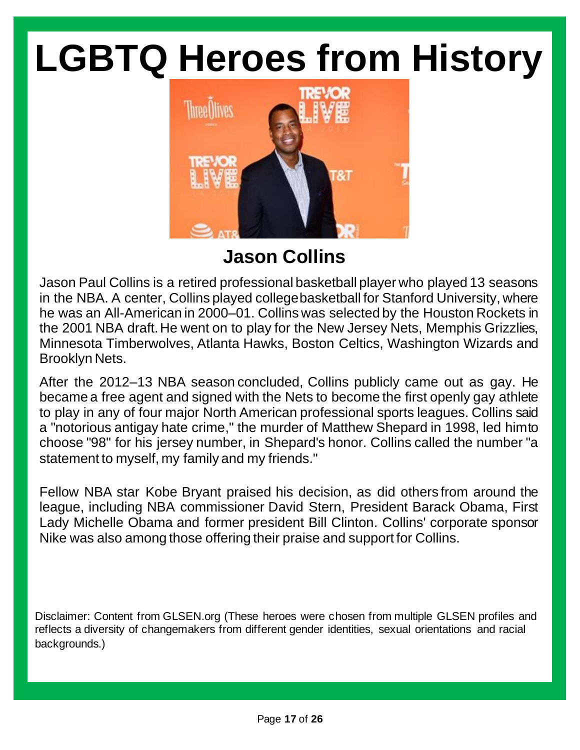

**Jason Collins**

Jason Paul Collins is a retired professional basketball player who played 13 seasons in the NBA. A center, Collins played collegebasketball for Stanford University, where he was an All-American in 2000–01. Collins was selected by the Houston Rockets in the 2001 NBA draft.He went on to play for the New Jersey Nets, Memphis Grizzlies, Minnesota Timberwolves, Atlanta Hawks, Boston Celtics, Washington Wizards and Brooklyn Nets.

After the 2012–13 NBA season concluded, Collins publicly came out as gay. He became a free agent and signed with the Nets to become the first openly gay athlete to play in any of four major North American professional sports leagues. Collins said a "notorious antigay hate crime," the murder of Matthew Shepard in 1998, led himto choose "98" for his jersey number, in Shepard's honor. Collins called the number "a statement to myself, my family and my friends."

Fellow NBA star Kobe Bryant praised his decision, as did others from around the league, including NBA commissioner David Stern, President Barack Obama, First Lady Michelle Obama and former president Bill Clinton. Collins' corporate sponsor Nike was also among those offering their praise and support for Collins.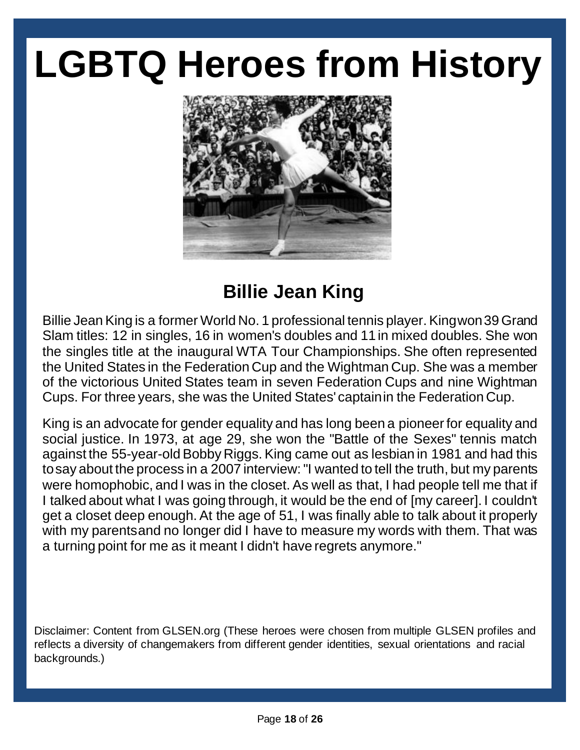

#### **Billie Jean King**

Billie Jean King is a former World No. 1 professional tennis player. Kingwon 39 Grand Slam titles: 12 in singles, 16 in women's doubles and 11in mixed doubles. She won the singles title at the inaugural WTA Tour Championships. She often represented the United States in the Federation Cup and the Wightman Cup. She was a member of the victorious United States team in seven Federation Cups and nine Wightman Cups. For three years, she was the United States' captainin the Federation Cup.

King is an advocate for gender equality and has long been a pioneer for equality and social justice. In 1973, at age 29, she won the "Battle of the Sexes" tennis match against the 55-year-old Bobby Riggs. King came out as lesbian in 1981 and had this tosay about the process in a 2007 interview: "I wanted to tell the truth, but my parents were homophobic, and I was in the closet. As well as that, I had people tell me that if I talked about what I was going through, it would be the end of [my career]. I couldn't get a closet deep enough. At the age of 51, I was finally able to talk about it properly with my parentsand no longer did I have to measure my words with them. That was a turning point for me as it meant I didn't have regrets anymore."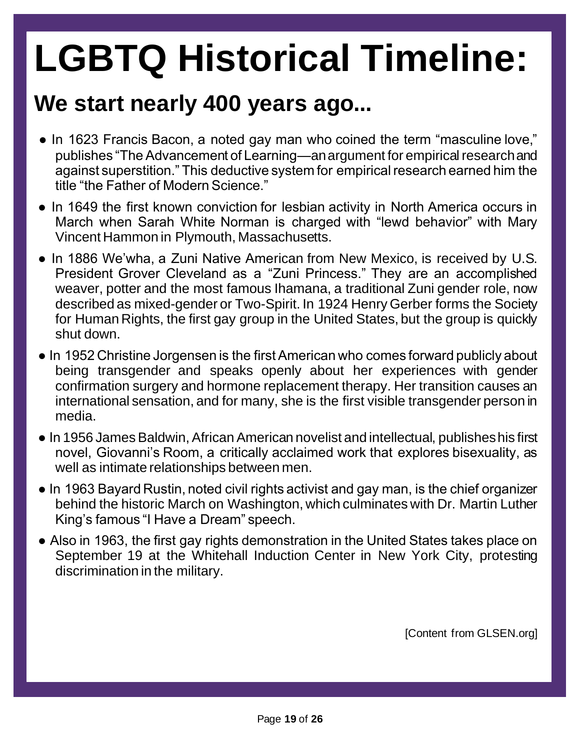#### **We start nearly 400 years ago...**

- In 1623 Francis Bacon, a noted gay man who coined the term "masculine love," publishes "The Advancement of Learning—an argument for empirical research and against superstition." This deductive system for empirical research earned him the title "the Father of Modern Science."
- In 1649 the first known conviction for lesbian activity in North America occurs in March when Sarah White Norman is charged with "lewd behavior" with Mary Vincent Hammon in Plymouth, Massachusetts.
- In 1886 We'wha, a Zuni Native American from New Mexico, is received by U.S. President Grover Cleveland as a "Zuni Princess." They are an accomplished weaver, potter and the most famous Ihamana, a traditional Zuni gender role, now described as mixed-gender or Two-Spirit. In 1924 Henry Gerber forms the Society for Human Rights, the first gay group in the United States, but the group is quickly shut down.
- In 1952 Christine Jorgensen is the first American who comes forward publicly about being transgender and speaks openly about her experiences with gender confirmation surgery and hormone replacement therapy. Her transition causes an international sensation, and for many, she is the first visible transgender person in media.
- In 1956 James Baldwin, African American novelist and intellectual, publishes his first novel, Giovanni's Room, a critically acclaimed work that explores bisexuality, as well as intimate relationships between men.
- In 1963 Bayard Rustin, noted civil rights activist and gay man, is the chief organizer behind the historic March on Washington, which culminates with Dr. Martin Luther King's famous "I Have a Dream" speech.
- Also in 1963, the first gay rights demonstration in the United States takes place on September 19 at the Whitehall Induction Center in New York City, protesting discrimination in the military.

[Content from GLSEN.org]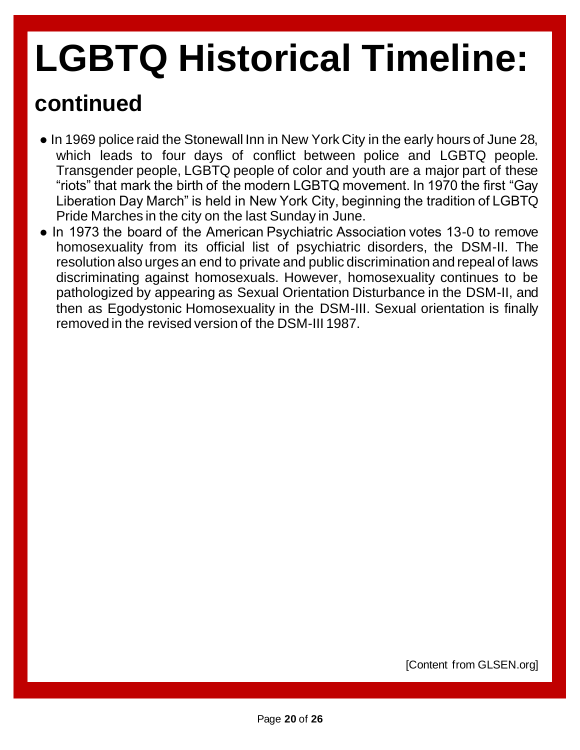#### **continued**

- In 1969 police raid the Stonewall Inn in New York City in the early hours of June 28, which leads to four days of conflict between police and LGBTQ people. Transgender people, LGBTQ people of color and youth are a major part of these "riots" that mark the birth of the modern LGBTQ movement. In 1970 the first "Gay Liberation Day March" is held in New York City, beginning the tradition of LGBTQ Pride Marches in the city on the last Sunday in June.
- In 1973 the board of the American Psychiatric Association votes 13-0 to remove homosexuality from its official list of psychiatric disorders, the DSM-II. The resolution also urges an end to private and public discrimination and repeal of laws discriminating against homosexuals. However, homosexuality continues to be pathologized by appearing as Sexual Orientation Disturbance in the DSM-II, and then as Egodystonic Homosexuality in the DSM-III. Sexual orientation is finally removed in the revised version of the DSM-III 1987.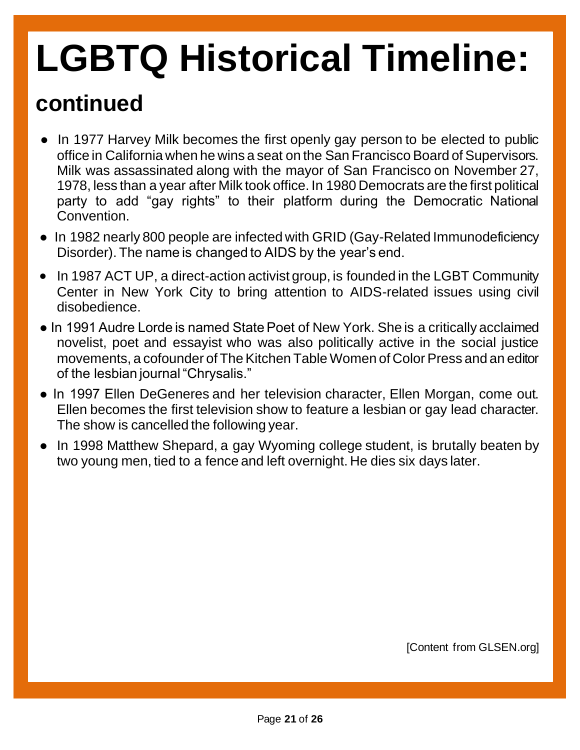#### **continued**

- In 1977 Harvey Milk becomes the first openly gay person to be elected to public office in California when he wins a seat on the San Francisco Board of Supervisors. Milk was assassinated along with the mayor of San Francisco on November 27, 1978, less than a year after Milk took office. In 1980 Democrats are the first political party to add "gay rights" to their platform during the Democratic National Convention.
- In 1982 nearly 800 people are infected with GRID (Gay-Related Immunodeficiency Disorder). The name is changed to AIDS by the year's end.
- In 1987 ACT UP, a direct-action activist group, is founded in the LGBT Community Center in New York City to bring attention to AIDS-related issues using civil disobedience.
- In 1991 Audre Lorde is named State Poet of New York. She is a critically acclaimed novelist, poet and essayist who was also politically active in the social justice movements, a cofounder of The Kitchen Table Women of Color Press and an editor of the lesbian journal "Chrysalis."
- In 1997 Ellen DeGeneres and her television character, Ellen Morgan, come out. Ellen becomes the first television show to feature a lesbian or gay lead character. The show is cancelled the following year.
- In 1998 Matthew Shepard, a gay Wyoming college student, is brutally beaten by two young men, tied to a fence and left overnight. He dies six days later.

[Content from GLSEN.org]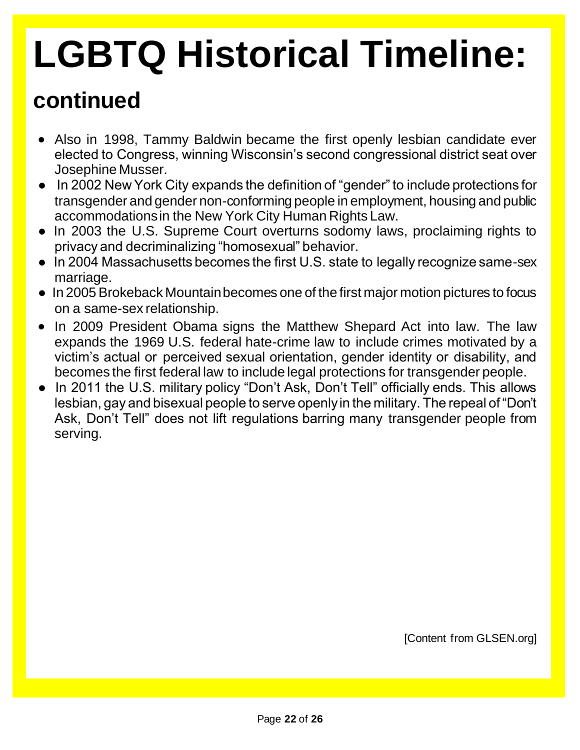#### **continued**

- Also in 1998, Tammy Baldwin became the first openly lesbian candidate ever elected to Congress, winning Wisconsin's second congressional district seat over Josephine Musser.
- In 2002 New York City expands the definition of "gender" to include protections for transgender and gender non-conforming people in employment, housing and public accommodations in the New York City Human Rights Law.
- In 2003 the U.S. Supreme Court overturns sodomy laws, proclaiming rights to privacy and decriminalizing "homosexual" behavior.
- In 2004 Massachusetts becomes the first U.S. state to legally recognize same-sex marriage.
- In 2005 Brokeback Mountain becomes one of the first major motion pictures to focus on a same-sex relationship.
- In 2009 President Obama signs the Matthew Shepard Act into law. The law expands the 1969 U.S. federal hate-crime law to include crimes motivated by a victim's actual or perceived sexual orientation, gender identity or disability, and becomes the first federal law to include legal protections for transgender people.
- In 2011 the U.S. military policy "Don't Ask, Don't Tell" officially ends. This allows lesbian, gay and bisexual people to serve openly in the military. The repeal of "Don't Ask, Don't Tell" does not lift regulations barring many transgender people from serving.

[Content from GLSEN.org]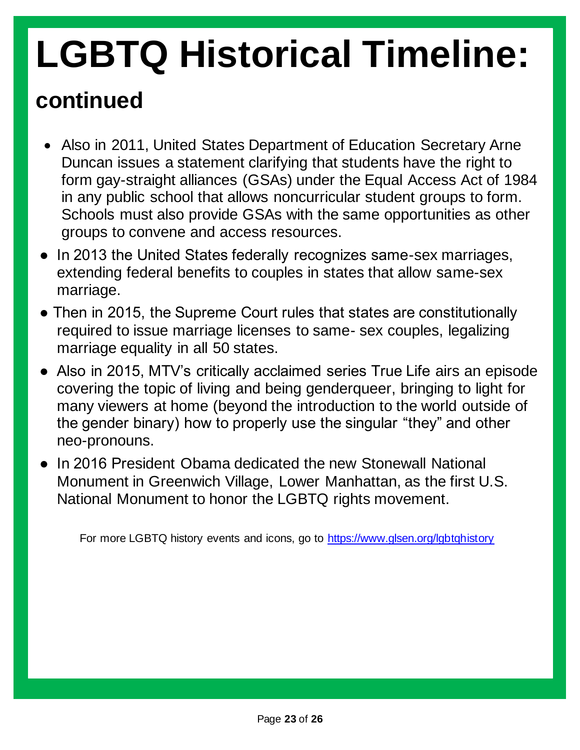#### **continued**

- Also in 2011, United States Department of Education Secretary Arne Duncan issues a statement clarifying that students have the right to form gay-straight alliances (GSAs) under the Equal Access Act of 1984 in any public school that allows noncurricular student groups to form. Schools must also provide GSAs with the same opportunities as other groups to convene and access resources.
- In 2013 the United States federally recognizes same-sex marriages, extending federal benefits to couples in states that allow same-sex marriage.
- Then in 2015, the Supreme Court rules that states are constitutionally required to issue marriage licenses to same- sex couples, legalizing marriage equality in all 50 states.
- Also in 2015, MTV's critically acclaimed series True Life airs an episode covering the topic of living and being genderqueer, bringing to light for many viewers at home (beyond the introduction to the world outside of the gender binary) how to properly use the singular "they" and other neo-pronouns.
- In 2016 President Obama dedicated the new Stonewall National Monument in Greenwich Village, Lower Manhattan, as the first U.S. National Monument to honor the LGBTQ rights movement.

For more LGBTQ history events and icons, go to<https://www.glsen.org/lgbtqhistory>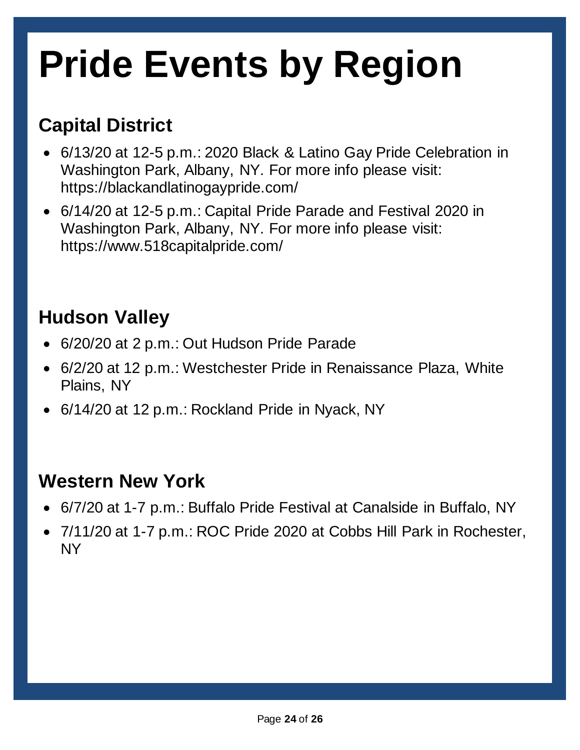## **Pride Events by Region**

#### **Capital District**

- 6/13/20 at 12-5 p.m.: 2020 Black & Latino Gay Pride Celebration in Washington Park, Albany, NY. For more info please visit: https://blackandlatinogaypride.com/
- 6/14/20 at 12-5 p.m.: Capital Pride Parade and Festival 2020 in Washington Park, Albany, NY. For more info please visit: https://www.518capitalpride.com/

#### **Hudson Valley**

- 6/20/20 at 2 p.m.: Out Hudson Pride Parade
- 6/2/20 at 12 p.m.: Westchester Pride in Renaissance Plaza, White Plains, NY
- 6/14/20 at 12 p.m.: Rockland Pride in Nyack, NY

#### **Western New York**

- 6/7/20 at 1-7 p.m.: Buffalo Pride Festival at Canalside in Buffalo, NY
- 7/11/20 at 1-7 p.m.: ROC Pride 2020 at Cobbs Hill Park in Rochester, NY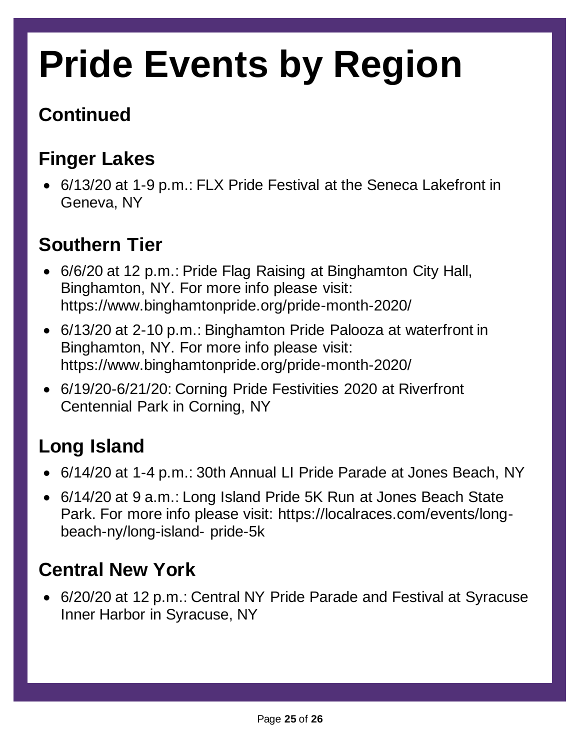## **Pride Events by Region**

#### **Continued**

#### **Finger Lakes**

• 6/13/20 at 1-9 p.m.: FLX Pride Festival at the Seneca Lakefront in Geneva, NY

#### **Southern Tier**

- 6/6/20 at 12 p.m.: Pride Flag Raising at Binghamton City Hall, Binghamton, NY. For more info please visit: https://www.binghamtonpride.org/pride-month-2020/
- 6/13/20 at 2-10 p.m.: Binghamton Pride Palooza at waterfront in Binghamton, NY. For more info please visit: https://www.binghamtonpride.org/pride-month-2020/
- 6/19/20-6/21/20: Corning Pride Festivities 2020 at Riverfront Centennial Park in Corning, NY

#### **Long Island**

- 6/14/20 at 1-4 p.m.: 30th Annual LI Pride Parade at Jones Beach, NY
- 6/14/20 at 9 a.m.: Long Island Pride 5K Run at Jones Beach State Park. For more info please visit: https://localraces.com/events/longbeach-ny/long-island- pride-5k

#### **Central New York**

• 6/20/20 at 12 p.m.: Central NY Pride Parade and Festival at Syracuse Inner Harbor in Syracuse, NY